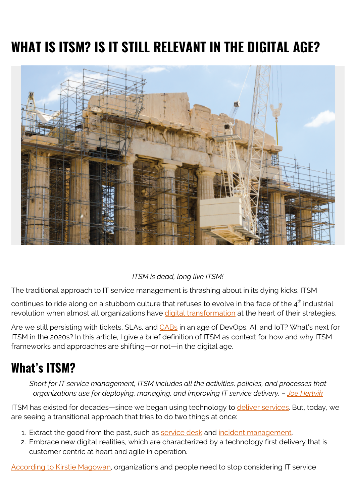# **WHAT IS ITSM? IS IT STILL RELEVANT IN THE DIGITAL AGE?**



#### *ITSM is dead, long live ITSM!*

The traditional approach to IT service management is thrashing about in its dying kicks. ITSM

continues to ride along on a stubborn culture that refuses to evolve in the face of the  $4<sup>th</sup>$  industrial revolution when almost all organizations have [digital transformation](https://blogs.bmc.com/blogs/what-is-digital-transformation/) at the heart of their strategies.

Are we still persisting with tickets, SLAs, and [CABs](https://www.bmc.com/blogs/itil-change-advisory-board-cab/) in an age of DevOps, AI, and IoT? What's next for ITSM in the 2020s? In this article, I give a brief definition of ITSM as context for how and why ITSM frameworks and approaches are shifting—or not—in the digital age.

#### **What's ITSM?**

*Short for IT service management, ITSM includes all the activities, policies, and processes that organizations use for deploying, managing, and improving IT service delivery. – [Joe Hertvik](https://blogs.bmc.com/blogs/itsm-frameworks-popular/)*

ITSM has existed for decades—since we began using technology to [deliver services](https://www.bmc.com/blogs/itil-service-delivery/). But, today, we are seeing a transitional approach that tries to do two things at once:

- 1. Extract the good from the past, such as [service desk](https://blogs.bmc.com/blogs/service-desk-best-practices/) and [incident management.](https://blogs.bmc.com/blogs/incident-management/)
- 2. Embrace new digital realities, which are characterized by a technology first delivery that is customer centric at heart and agile in operation.

[According to Kirstie Magowan](https://blogs.bmc.com/blogs/state-of-itsm/), organizations and people need to stop considering IT service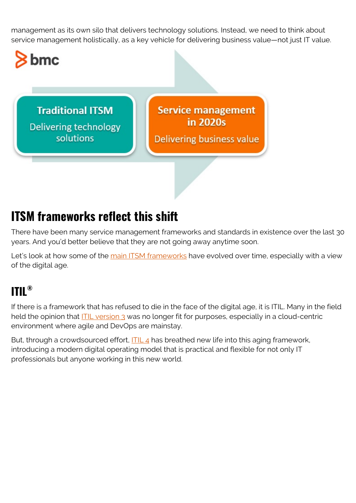management as its own silo that delivers technology solutions. Instead, we need to think about service management holistically, as a key vehicle for delivering business value—not just IT value.



#### **ITSM frameworks reflect this shift**

There have been many service management frameworks and standards in existence over the last 30 years. And you'd better believe that they are not going away anytime soon.

Let's look at how some of the [main ITSM frameworks](https://blogs.bmc.com/blogs/itsm-frameworks-popular/) have evolved over time, especially with a view of the digital age.

#### **ITIL®**

If there is a framework that has refused to die in the face of the digital age, it is ITIL. Many in the field held the opinion that **ITIL version 3** was no longer fit for purposes, especially in a cloud-centric environment where agile and DevOps are mainstay.

But, through a crowdsourced effort,  $\frac{|\text{Tr} L_4|}{4}$  has breathed new life into this aging framework, introducing a modern digital operating model that is practical and flexible for not only IT professionals but anyone working in this new world.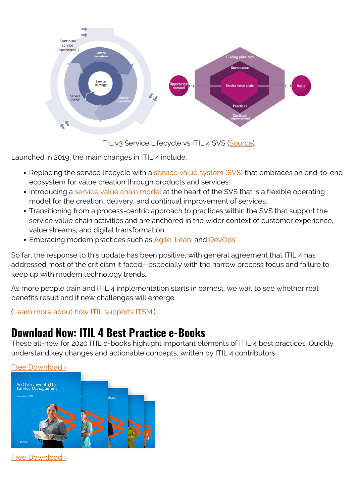

ITIL v3 Service Lifecycle vs ITIL 4 SVS ([Source\)](https://www.axelos.com/itil-4)

Launched in 2019, the main changes in ITIL 4 include:

- Replacing the service lifecycle with a [service value system \(SVS\)](https://blogs.bmc.com/blogs/itil-service-value-system/) that embraces an end-to-end ecosystem for value creation through products and services.
- Introducing a [service value chain model](https://blogs.bmc.com/blogs/itil-service-value-chain/) at the heart of the SVS that is a flexible operating model for the creation, delivery, and continual improvement of services.
- Transitioning from a process-centric approach to practices within the SVS that support the service value chain activities and are anchored in the wider context of customer experience, value streams, and digital transformation.
- Embracing modern practices such as [Agile, Lean,](https://blogs.bmc.com/blogs/design-thinking-vs-lean-vs-agile/) and [DevOps.](https://blogs.bmc.com/blogs/devops-enterprises/)

So far, the response to this update has been positive, with general agreement that ITIL 4 has addressed most of the criticism it faced—especially with the narrow process focus and failure to keep up with modern technology trends.

As more people train and ITIL 4 implementation starts in earnest, we wait to see whether real benefits result and if new challenges will emerge.

([Learn more about how ITIL supports ITSM.](https://blogs.bmc.com/blogs/itsm-or-itil-that-isnt-the-question/))

#### **Download Now: ITIL 4 Best Practice e-Books**

These all-new for 2020 ITIL e-books highlight important elements of ITIL 4 best practices. Quickly understand key changes and actionable concepts, written by ITIL 4 contributors.



[Free Download ›](https://www.bmc.com/forms/itil-free-ebook.html)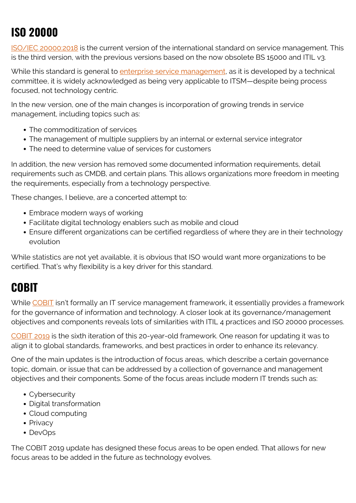#### **ISO 20000**

[ISO/IEC 20000:2018](https://www.iso.org/standard/70636.html) is the current version of the international standard on service management. This is the third version, with the previous versions based on the now obsolete BS 15000 and ITIL v3.

While this standard is general to [enterprise service management](https://blogs.bmc.com/blogs/enterprise-service-management/), as it is developed by a technical committee, it is widely acknowledged as being very applicable to ITSM—despite being process focused, not technology centric.

In the new version, one of the main changes is incorporation of growing trends in service management, including topics such as:

- The commoditization of services
- The management of multiple suppliers by an internal or external service integrator
- The need to determine value of services for customers

In addition, the new version has removed some documented information requirements, detail requirements such as CMDB, and certain plans. This allows organizations more freedom in meeting the requirements, especially from a technology perspective.

These changes, I believe, are a concerted attempt to:

- Embrace modern ways of working
- Facilitate digital technology enablers such as mobile and cloud
- Ensure different organizations can be certified regardless of where they are in their technology evolution

While statistics are not yet available, it is obvious that ISO would want more organizations to be certified. That's why flexibility is a key driver for this standard.

#### **COBIT**

While [COBIT](https://blogs.bmc.com/blogs/cobit/) isn't formally an IT service management framework, it essentially provides a framework for the governance of information and technology. A closer look at its governance/management objectives and components reveals lots of similarities with ITIL 4 practices and ISO 20000 processes.

[COBIT 2019](https://blogs.bmc.com/blogs/cobit-2019-vs-cobit-5/) is the sixth iteration of this 20-year-old framework. One reason for updating it was to align it to global standards, frameworks, and best practices in order to enhance its relevancy.

One of the main updates is the introduction of focus areas, which describe a certain governance topic, domain, or issue that can be addressed by a collection of governance and management objectives and their components. Some of the focus areas include modern IT trends such as:

- Cybersecurity
- Digital transformation
- Cloud computing
- Privacy
- DevOps

The COBIT 2019 update has designed these focus areas to be open ended. That allows for new focus areas to be added in the future as technology evolves.